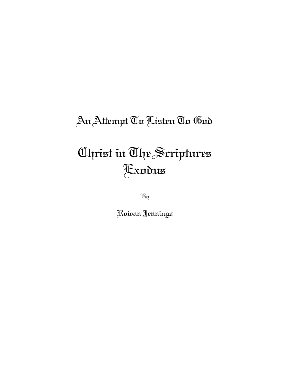# An Attempt To Listen To God

# Christ in The Scriptures Exodus

By

Rowan Jennings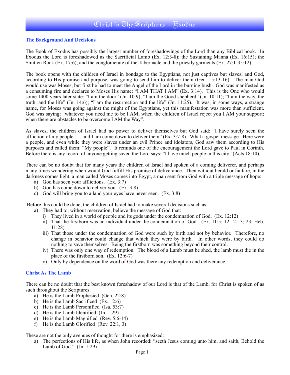## Christ in The Scriptures - Exodus

#### **The Background And Decisions**

The Book of Exodus has possibly the largest number of foreshadowings of the Lord than any Biblical book. In Exodus the Lord is foreshadowed as the Sacrificial Lamb (Ex. 12:3-8); the Sustaining Manna (Ex. 16:15); the Smitten Rock (Ex. 17:6); and the conglomerate of the Tabernacle and the priestly garments (Ex. 27:1-35:12).

The book opens with the children of Israel in bondage to the Egyptians, not just captives but slaves, and God, according to His promise and purpose, was going to send him to deliver them (Gen. 15:13-16). The man God would use was Moses, but first he had to meet the Angel of the Lord in the burning bush. God was manifested as a consuming fire and declares to Moses His name: "I AM THAT I AM" (Ex. 3:14). This is the One who would some 1400 years later state: "I am the door" (Jn. 10:9); "I am the Good shepherd" (Jn. 10:11); "I am the way, the truth, and the life" (Jn. 14:6); "I am the resurrection and the life" (Jn.  $11:25$ ). It was, in some ways, a strange name, for Moses was going against the might of the Egyptians, yet this manifestation was more than sufficient. God was saying: "whatever you need me to be I AM; when the children of Israel reject you I AM your support; when there are obstacles to be overcome I AM the Way".

As slaves, the children of Israel had no power to deliver themselves but God said: "I have surely seen the affliction of my people . . . and I am come down to deliver them" (Ex. 3:7-8). What a gospel message. Here were a people, and even while they were slaves under an evil Prince and idolators, God saw them according to His purposes and called them: "My people". It reminds one of the encouragement the Lord gave to Paul in Corinth. Before there is any record of anyone getting saved the Lord says: "I have much people in this city" (Acts 18:10).

There can be no doubt that for many years the children of Israel had spoken of a coming deliverer, and perhaps many times wondering when would God fulfill His promise of deliverance. Then without herald or fanfare, in the darkness comes light, a man called Moses comes into Egypt, a man sent from God with a triple message of hope:

- a) God has seen your afflictions. (Ex. 3:7)
- b) God has come down to deliver you. (Ex. 3:8)
- c) God will bring you to a land your eyes have never seen. (Ex. 3:8)

Before this could be done, the children of Israel had to make several decisions such as:

- a) They had to, without reservation, believe the message of God that:
	- i) They lived in a world of people and its gods under the condemnation of God. (Ex. 12:12)
	- ii) That the firstborn was an individual under the condemnation of God. (Ex. 11:5; 12:12-13; 23; Heb. 11:28)
	- iii) That those under the condemnation of God were such by birth and not by behavior. Therefore, no change in behavior could change that which they were by birth. In other words, they could do nothing to save themselves. Being the firstborn was something beyond their control.
	- iv) There was only one way of redemption. The blood of a Lamb must be shed, the lamb must die in the place of the firstborn son. (Ex. 12:6**-**7)
	- v) Only by dependence on the word of God was there any redemption and deliverance.

#### **Christ As The Lamb**

There can be no doubt that the best known foreshadow of our Lord is that of the Lamb, for Christ is spoken of as such throughout the Scriptures:

- a) He is the Lamb Prophesied (Gen. 22:8)
- b) He is the Lamb Sacrificed (Ex. 12:6)
- c) He is the Lamb Personified (Isa. 53:7)
- d) He is the Lamb Identified (Jn. 1:29)
- e) He is the Lamb Magnified (Rev. 5:6-14)
- f) He is the Lamb Glorified (Rev. 22:1, 3)

These are not the only avenues of thought for there is emphasized:

a) The perfections of His life, as when John recorded: "seeth Jesus coming unto him, and saith, Behold the Lamb of God."  $(In. 1:29)$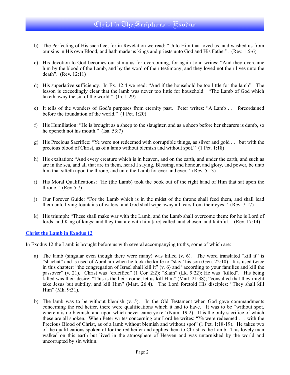- b) The Perfecting of His sacrifice, for in Revelation we read: "Unto Him that loved us, and washed us from our sins in His own Blood, and hath made us kings and priests unto God and His Father". (Rev. 1:5-6)
- c) His devotion to God becomes our stimulus for overcoming, for again John writes: "And they overcame him by the blood of the Lamb, and by the word of their testimony; and they loved not their lives unto the death". (Rev. 12:11)
- d) His superlative sufficiency. In Ex. 12:4 we read: "And if the household be too little for the lamb". The lesson is exceedingly clear that the lamb was never too little for household. "The Lamb of God which taketh away the sin of the world." (Jn. 1:29)
- e) It tells of the wonders of God's purposes from eternity past. Peter writes: "A Lamb . . . foreordained before the foundation of the world." (1 Pet. 1:20)
- f) His Humiliation: "He is brought as a sheep to the slaughter, and as a sheep before her shearers is dumb, so he openeth not his mouth." (Isa. 53:7)
- g) His Precious Sacrifice: "Ye were not redeemed with corruptible things, as silver and gold . . . but with the precious blood of Christ, as of a lamb without blemish and without spot." (1 Pet. 1:18)
- h) His exaltation: "And every creature which is in heaven, and on the earth, and under the earth, and such as are in the sea, and all that are in them, heard I saying, Blessing, and honour, and glory, and power, be unto him that sitteth upon the throne, and unto the Lamb for ever and ever." (Rev. 5:13)
- i) His Moral Qualifications: "He (the Lamb) took the book out of the right hand of Him that sat upon the throne."  $(Rev 5:7)$
- j) Our Forever Guide: "For the Lamb which is in the midst of the throne shall feed them, and shall lead them unto living fountains of waters: and God shall wipe away all tears from their eyes." (Rev. 7:17)
- k) His triumph: "These shall make war with the Lamb, and the Lamb shall overcome them: for he is Lord of lords, and King of kings: and they that are with him [are] called, and chosen, and faithful." (Rev. 17:14)

#### **Christ the Lamb in Exodus 12**

In Exodus 12 the Lamb is brought before us with several accompanying truths, some of which are:

- a) The lamb (singular even though there were many) was killed  $(v, 6)$ . The word translated "kill it" is "shachat" and is used of Abraham when he took the knife to "slay" his son (Gen. 22:10). It is used twice in this chapter: "the congregation of Israel shall kill it" (v. 6) and "according to your families and kill the passover" (v. 21). Christ was "crucified" (1 Cor. 2:2); "Slain" (Lk. 9:22); He was "killed". His being killed was their desire: "This is the heir; come, let us kill Him" (Matt. 21:38); "consulted that they might take Jesus but subtilty, and kill Him" (Matt. 26:4). The Lord foretold His disciples: "They shall kill Him" (Mk. 9:31).
- b) The lamb was to be without blemish (v. 5). In the Old Testament when God gave commandments concerning the red heifer, there were qualifications which it had to have. It was to be "without spot, wherein is no blemish, and upon which never came yoke" (Num. 19:2). It is the only sacrifice of which these are all spoken. When Peter writes concerning our Lord he writes: "Ye were redeemed . . . with the Precious Blood of Christ, as of a lamb without blemish and without spot" (1 Pet. 1:18-19). He takes two of the qualifications spoken of for the red heifer and applies them to Christ as the Lamb. This lovely man walked on this earth but lived in the atmosphere of Heaven and was untarnished by the world and uncorrupted by sin within.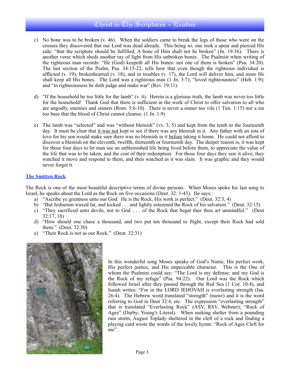# Christ in The Scriptures - Exodus

- c) No bone was to be broken (v. 46). When the soldiers came to break the legs of those who were on the crosses they discovered that our Lord was dead already. This being so, one took a spear and pierced His side: "that the scripture should be fulfilled, A bone of Him shall not be broken" (Jn. 19:36). There is another verse which sheds another ray of light from His unbroken bones. The Psalmist when writing of the righteous man records: "He (God) keepeth all His bones: not one of them is broken" (Psa. 34:20). The last section of the Psalm, Psa. 34:15-22, tells how that even though the righteous individual is afflicted (v. 19), brokenhearted (v. 18), and in troubles (v. 17), the Lord will deliver him, and more He shall keep all His bones. The Lord was a righteous man (1 Jn. 3:7); "loved righteousness" (Heb. 1:9); and "in righteousness he doth judge and make war" (Rev. 19:11).
- d) "If the household be too little for the lamb"  $(v, 4)$ . Herein is a glorious truth, the lamb was never too little for the household! Thank God that there is sufficient in the work of Christ to offer salvation to all who are ungodly, enemies and sinners (Rom. 5:6-10). There is never a sinner too vile (1 Tim. 1:15) nor a sin too base that the blood of Christ cannot cleanse. (1 Jn. 1:9)
- e) The lamb was "selected" and was "without blemish" (vv. 3, 5) and kept from the tenth to the fourteenth day. It must be clear that it was not kept to see if there was any blemish in it. Any father with an iota of love for his son would make sure there was no blemish in it before taking it home. He could not afford to discover a blemish on the eleventh, twelfth, thirteenth or fourteenth day. The deeper reason is, it was kept for those four days to let man see an unblemished life being lived before them, to appreciate the value of the life that was to be taken, and the cost of their redemption. For those four days they saw it alive, they watched it move and respond to them, and then watched as it was slain. It was graphic and they would never forget it.

#### **The Smitten Rock**

The Rock is one of the most beautiful descriptive terms of divine persons. When Moses spoke his last song to Israel, he speaks about the Lord as the Rock on five occasions (Deut. 32: 1-43). He says:

- a) "Ascribe ye greatness unto our God. He is the Rock, His work is perfect." (Deut. 32:3, 4)
- b) "But Jeshurum waxed fat, and kicked . . . and lightly esteemed the Rock of his salvation." (Deut. 32:15)
- c) "They sacrificed unto devils, not to God . . . of the Rock that begat thee thou art unmindful." (Deut 32:17, 18)
- d) "How should one chase a thousand, and two put ten thousand to flight, except their Rock had sold them." (Deut. 32:30)
- e) "Their Rock is not as our Rock." (Deut. 32:31)



In this wonderful song Moses speaks of God's Name, His perfect work, His perfect justice, and His impeccable character. This is the One of whom the Psalmist could say: "The Lord is my defense; and my God is the Rock of my refuge" (Psa. 94:22). Our Lord was the Rock which followed Israel after they passed through the Red Sea (1 Cor. 10:4), and Isaiah writes: "For in the LORD JEHOVAH is everlasting strength (Isa. 26:4). The Hebrew word translated "strength" (tsuwr) and it is the word referring to God in Deut 32:4, etc. The expression "everlasting strength" that is translated "Everlasting Rock" (ASV, RSV, Webster); "Rock of Ages" (Darby; Young's Literal). When seeking shelter from a pounding rain storm, August Toplady sheltered in the cleft of a rock and finding a playing card wrote the words of the lovely hymn: "Rock of Ages Cleft for me".